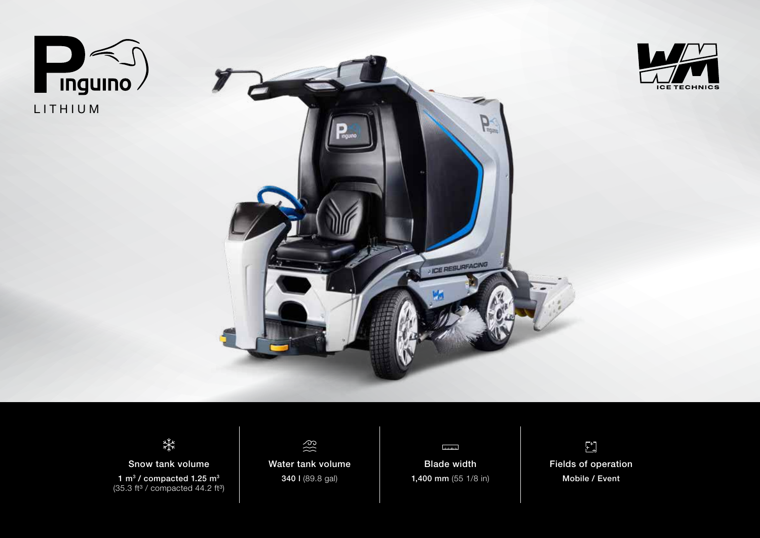







Snow tank volume 1 m<sup>3</sup> / compacted 1.25 m<sup>3</sup>  $(35.3 \text{ ft}^3 / \text{compacted } 44.2 \text{ ft}^3)$ 



Water tank volume 340 l (89.8 gal)



Blade width 1,400 mm (55 1/8 in)

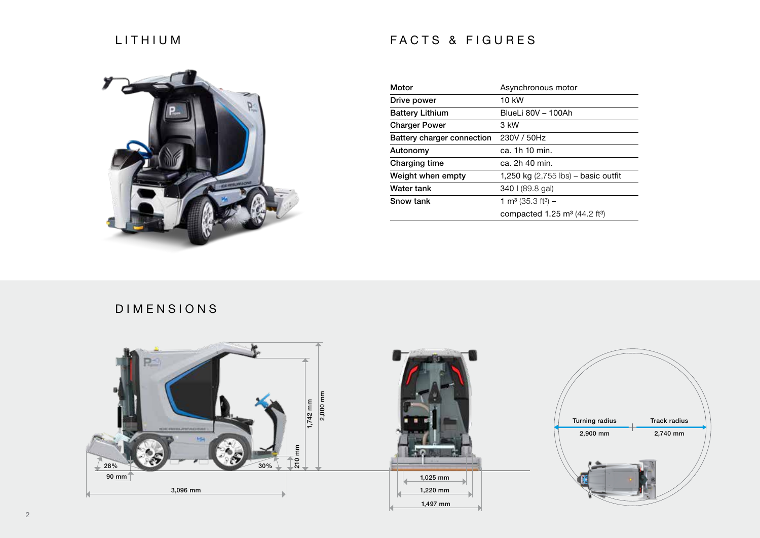## LITHIUM

## FACTS & FIGURES



| Motor                      | Asynchronous motor                                  |
|----------------------------|-----------------------------------------------------|
| Drive power                | 10 kW                                               |
| <b>Battery Lithium</b>     | BlueLi 80V - 100Ah                                  |
| <b>Charger Power</b>       | 3 kW                                                |
| Battery charger connection | 230V / 50Hz                                         |
| Autonomy                   | ca. 1h 10 min.                                      |
| Charging time              | ca. 2h 40 min.                                      |
| Weight when empty          | 1,250 kg $(2,755$ lbs) – basic outfit               |
| Water tank                 | 340 I (89.8 gal)                                    |
| Snow tank                  | 1 m <sup>3</sup> (35.3 ft <sup>3</sup> ) –          |
|                            | compacted 1.25 $\text{m}^3$ (44.2 ft <sup>3</sup> ) |

## DIMENSIONS

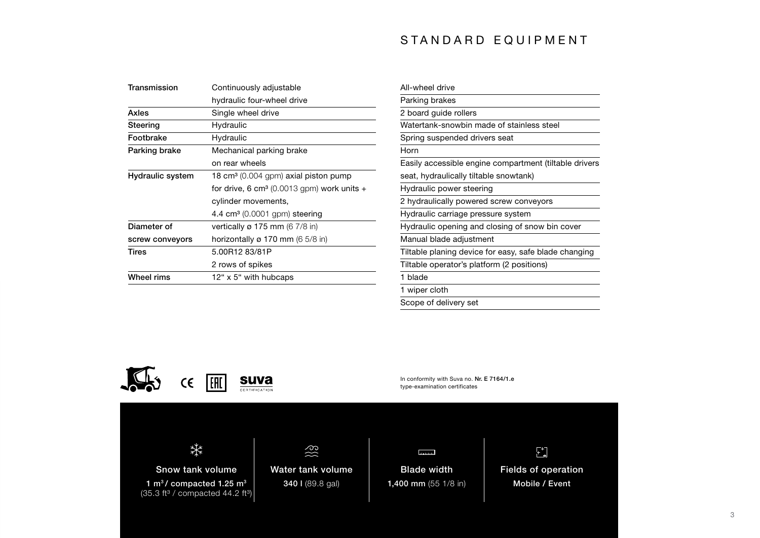## STANDARD EQUIPMENT

| Continuously adjustable                                  |
|----------------------------------------------------------|
| hydraulic four-wheel drive                               |
| Single wheel drive                                       |
| Hydraulic                                                |
| Hydraulic                                                |
| Mechanical parking brake                                 |
| on rear wheels                                           |
| 18 cm <sup>3</sup> (0.004 gpm) axial piston pump         |
| for drive, 6 cm <sup>3</sup> (0.0013 gpm) work units $+$ |
| cylinder movements,                                      |
| 4.4 cm <sup>3</sup> (0.0001 gpm) steering                |
| vertically $\varnothing$ 175 mm (6 7/8 in)               |
| horizontally $\varnothing$ 170 mm (6 5/8 in)             |
| 5.00R12 83/81P                                           |
| 2 rows of spikes                                         |
| 12" x 5" with hubcaps                                    |
|                                                          |

| All-wheel drive                                        |  |
|--------------------------------------------------------|--|
| Parking brakes                                         |  |
| 2 board quide rollers                                  |  |
| Watertank-snowbin made of stainless steel              |  |
| Spring suspended drivers seat                          |  |
| Horn                                                   |  |
| Easily accessible engine compartment (tiltable drivers |  |
| seat, hydraulically tiltable snowtank)                 |  |
| Hydraulic power steering                               |  |
| 2 hydraulically powered screw conveyors                |  |
| Hydraulic carriage pressure system                     |  |
| Hydraulic opening and closing of snow bin cover        |  |
| Manual blade adjustment                                |  |
| Tiltable planing device for easy, safe blade changing  |  |
| Tiltable operator's platform (2 positions)             |  |
| 1 blade                                                |  |
| wiper cloth                                            |  |
|                                                        |  |

Scope of delivery set